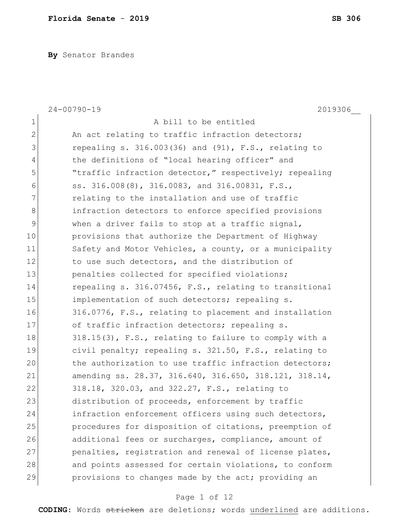**By** Senator Brandes

|                | $24 - 00790 - 19$<br>2019306                              |
|----------------|-----------------------------------------------------------|
| $\mathbf 1$    | A bill to be entitled                                     |
| $\overline{2}$ | An act relating to traffic infraction detectors;          |
| 3              | repealing s. $316.003(36)$ and $(91)$ , F.S., relating to |
| 4              | the definitions of "local hearing officer" and            |
| 5              | "traffic infraction detector," respectively; repealing    |
| 6              | ss. 316.008(8), 316.0083, and 316.00831, F.S.,            |
| 7              | relating to the installation and use of traffic           |
| $8\,$          | infraction detectors to enforce specified provisions      |
| 9              | when a driver fails to stop at a traffic signal,          |
| 10             | provisions that authorize the Department of Highway       |
| 11             | Safety and Motor Vehicles, a county, or a municipality    |
| 12             | to use such detectors, and the distribution of            |
| 13             | penalties collected for specified violations;             |
| 14             | repealing s. 316.07456, F.S., relating to transitional    |
| 15             | implementation of such detectors; repealing s.            |
| 16             | 316.0776, F.S., relating to placement and installation    |
| 17             | of traffic infraction detectors; repealing s.             |
| 18             | 318.15(3), F.S., relating to failure to comply with a     |
| 19             | civil penalty; repealing s. 321.50, F.S., relating to     |
| 20             | the authorization to use traffic infraction detectors;    |
| 21             | amending ss. 28.37, 316.640, 316.650, 318.121, 318.14,    |
| 22             | 318.18, 320.03, and 322.27, F.S., relating to             |
| 23             | distribution of proceeds, enforcement by traffic          |
| 24             | infraction enforcement officers using such detectors,     |
| 25             | procedures for disposition of citations, preemption of    |
| 26             | additional fees or surcharges, compliance, amount of      |
| 27             | penalties, registration and renewal of license plates,    |
| 28             | and points assessed for certain violations, to conform    |
| 29             | provisions to changes made by the act; providing an       |

## Page 1 of 12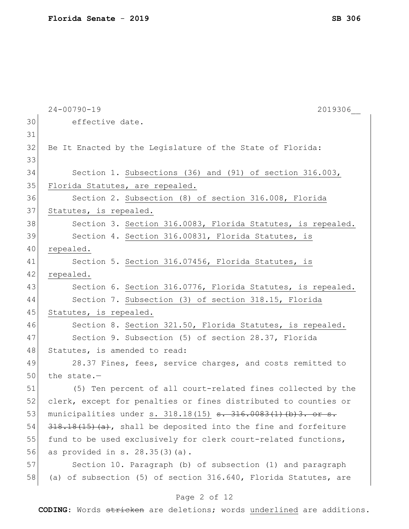|    | $24 - 00790 - 19$<br>2019306                                      |
|----|-------------------------------------------------------------------|
| 30 | effective date.                                                   |
| 31 |                                                                   |
| 32 | Be It Enacted by the Legislature of the State of Florida:         |
| 33 |                                                                   |
| 34 | Section 1. Subsections (36) and (91) of section 316.003,          |
| 35 | Florida Statutes, are repealed.                                   |
| 36 | Section 2. Subsection (8) of section 316.008, Florida             |
| 37 | Statutes, is repealed.                                            |
| 38 | Section 3. Section 316.0083, Florida Statutes, is repealed.       |
| 39 | Section 4. Section 316.00831, Florida Statutes, is                |
| 40 | repealed.                                                         |
| 41 | Section 5. Section 316.07456, Florida Statutes, is                |
| 42 | repealed.                                                         |
| 43 | Section 6. Section 316.0776, Florida Statutes, is repealed.       |
| 44 | Section 7. Subsection (3) of section 318.15, Florida              |
| 45 | Statutes, is repealed.                                            |
| 46 | Section 8. Section 321.50, Florida Statutes, is repealed.         |
| 47 | Section 9. Subsection (5) of section 28.37, Florida               |
| 48 | Statutes, is amended to read:                                     |
| 49 | 28.37 Fines, fees, service charges, and costs remitted to         |
| 50 | the state.-                                                       |
| 51 | (5) Ten percent of all court-related fines collected by the       |
| 52 | clerk, except for penalties or fines distributed to counties or   |
| 53 | municipalities under s. 318.18(15) s. 316.0083(1)(b)3. or s.      |
| 54 | $318.18(15)(a)$ , shall be deposited into the fine and forfeiture |
| 55 | fund to be used exclusively for clerk court-related functions,    |
| 56 | as provided in $s. 28.35(3)(a)$ .                                 |
| 57 | Section 10. Paragraph (b) of subsection (1) and paragraph         |
| 58 | (a) of subsection (5) of section 316.640, Florida Statutes, are   |
|    |                                                                   |
|    | Page 2 of 12                                                      |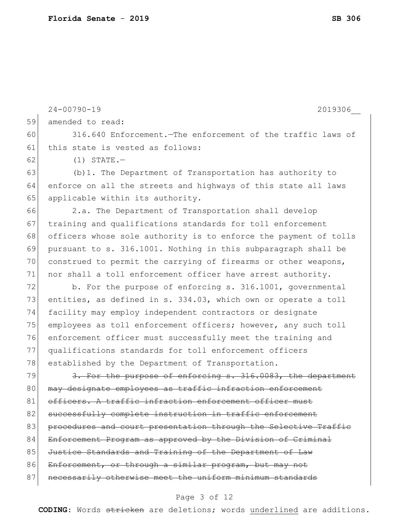|    | $24 - 00790 - 19$<br>2019306                                     |
|----|------------------------------------------------------------------|
| 59 | amended to read:                                                 |
| 60 | 316.640 Enforcement. The enforcement of the traffic laws of      |
| 61 | this state is vested as follows:                                 |
| 62 | $(1)$ STATE. $-$                                                 |
| 63 | (b) 1. The Department of Transportation has authority to         |
| 64 | enforce on all the streets and highways of this state all laws   |
| 65 | applicable within its authority.                                 |
| 66 | 2.a. The Department of Transportation shall develop              |
| 67 | training and qualifications standards for toll enforcement       |
| 68 | officers whose sole authority is to enforce the payment of tolls |
| 69 | pursuant to s. 316.1001. Nothing in this subparagraph shall be   |
| 70 | construed to permit the carrying of firearms or other weapons,   |
| 71 | nor shall a toll enforcement officer have arrest authority.      |
| 72 | b. For the purpose of enforcing s. 316.1001, governmental        |
| 73 | entities, as defined in s. 334.03, which own or operate a toll   |
| 74 | facility may employ independent contractors or designate         |
| 75 | employees as toll enforcement officers; however, any such toll   |
| 76 | enforcement officer must successfully meet the training and      |
| 77 | qualifications standards for toll enforcement officers           |
| 78 | established by the Department of Transportation.                 |
| 79 | 3. For the purpose of enforcing s. 316.0083, the department      |
| 80 | may designate employees as traffic infraction enforcement        |
| 81 | officers. A traffic infraction enforcement officer must          |
| 82 | successfully complete instruction in traffic enforcement         |
| 83 | procedures and court presentation through the Selective Traffic  |
| 84 | Enforcement Program as approved by the Division of Criminal      |
| 85 | Justice Standards and Training of the Department of Law          |
| 86 | Enforcement, or through a similar program, but may not           |
| 87 | necessarily otherwise meet the uniform minimum standards         |

## Page 3 of 12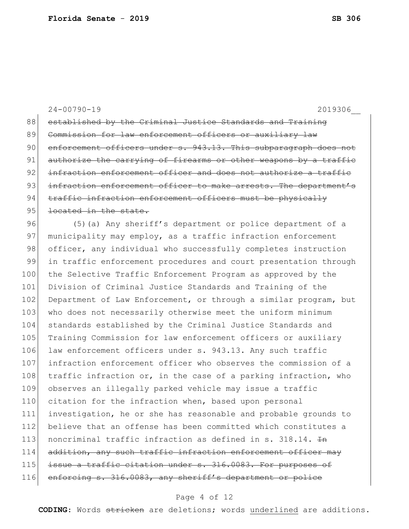24-00790-19 2019306\_\_ 88 established by the Criminal Justice Standards and Training 89 Commission for law enforcement officers or auxiliary law 90 enforcement officers under s. 943.13. This subparagraph does not 91| authorize the carrying of firearms or other weapons by a traffic 92 infraction enforcement officer and does not authorize a traffic 93 infraction enforcement officer to make arrests. The department's 94 traffic infraction enforcement officers must be physically 95 <del>located in the state.</del> 96 (5)(a) Any sheriff's department or police department of a 97 municipality may employ, as a traffic infraction enforcement 98 officer, any individual who successfully completes instruction 99 in traffic enforcement procedures and court presentation through

100 the Selective Traffic Enforcement Program as approved by the 101 Division of Criminal Justice Standards and Training of the 102 Department of Law Enforcement, or through a similar program, but 103 who does not necessarily otherwise meet the uniform minimum 104 standards established by the Criminal Justice Standards and 105 Training Commission for law enforcement officers or auxiliary 106 law enforcement officers under s. 943.13. Any such traffic 107 infraction enforcement officer who observes the commission of a 108 traffic infraction or, in the case of a parking infraction, who 109 observes an illegally parked vehicle may issue a traffic 110 citation for the infraction when, based upon personal 111 investigation, he or she has reasonable and probable grounds to 112 believe that an offense has been committed which constitutes a 113 | noncriminal traffic infraction as defined in s. 318.14.  $\pm$ n  $114$  addition, any such traffic infraction enforcement officer may 115 issue a traffic citation under s. 316.0083. For purposes of 116 enforcing s. 316.0083, any sheriff's department or police

#### Page 4 of 12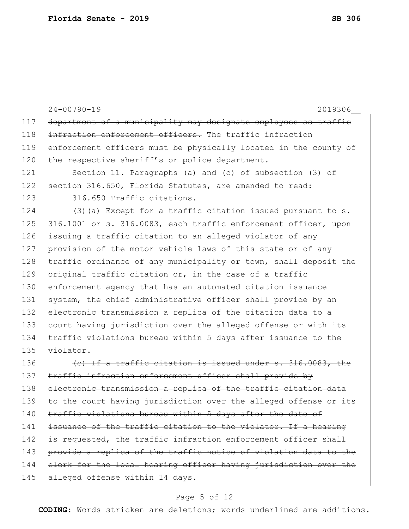24-00790-19 2019306\_\_ 117 department of a municipality may designate employees as traffic 118 infraction enforcement officers. The traffic infraction 119 enforcement officers must be physically located in the county of 120 the respective sheriff's or police department. 121 Section 11. Paragraphs (a) and (c) of subsection (3) of 122 section 316.650, Florida Statutes, are amended to read: 123 316.650 Traffic citations. 124 (3) (a) Except for a traffic citation issued pursuant to s. 125 316.1001 or s. 316.0083, each traffic enforcement officer, upon 126 issuing a traffic citation to an alleged violator of any 127 provision of the motor vehicle laws of this state or of any 128 traffic ordinance of any municipality or town, shall deposit the 129 original traffic citation or, in the case of a traffic 130 enforcement agency that has an automated citation issuance 131 system, the chief administrative officer shall provide by an 132 electronic transmission a replica of the citation data to a 133 court having jurisdiction over the alleged offense or with its 134 traffic violations bureau within 5 days after issuance to the 135 violator. 136  $\left\langle \text{e} \right\rangle$  If a traffic citation is issued under s. 316.0083, the 137 traffic infraction enforcement officer shall provide by 138 electronic transmission a replica of the traffic citation data 139 to the court having jurisdiction over the alleged offense or its 140 traffic violations bureau within 5 days after the date of 141 issuance of the traffic citation to the violator. If a hearing 142 is requested, the traffic infraction enforcement officer shall 143 provide a replica of the traffic notice of violation data to the 144 clerk for the local hearing officer having jurisdiction over the 145 alleged offense within 14 days.

#### Page 5 of 12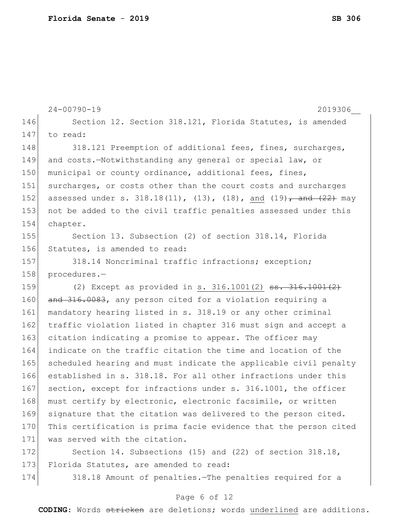|     | $24 - 00790 - 19$<br>2019306                                                   |
|-----|--------------------------------------------------------------------------------|
| 146 | Section 12. Section 318.121, Florida Statutes, is amended                      |
| 147 | to read:                                                                       |
| 148 | 318.121 Preemption of additional fees, fines, surcharges,                      |
| 149 | and costs.-Notwithstanding any general or special law, or                      |
| 150 | municipal or county ordinance, additional fees, fines,                         |
| 151 | surcharges, or costs other than the court costs and surcharges                 |
| 152 | assessed under s. $318.18(11)$ , $(13)$ , $(18)$ , and $(19)$ , and $(22)$ may |
| 153 | not be added to the civil traffic penalties assessed under this                |
| 154 | chapter.                                                                       |
| 155 | Section 13. Subsection (2) of section 318.14, Florida                          |
| 156 | Statutes, is amended to read:                                                  |
| 157 | 318.14 Noncriminal traffic infractions; exception;                             |
| 158 | procedures.-                                                                   |
| 159 | (2) Except as provided in s. $316.1001(2)$ ss. $316.1001(2)$                   |
| 160 | and 316.0083, any person cited for a violation requiring a                     |
| 161 | mandatory hearing listed in s. 318.19 or any other criminal                    |
| 162 | traffic violation listed in chapter 316 must sign and accept a                 |
| 163 | citation indicating a promise to appear. The officer may                       |
| 164 | indicate on the traffic citation the time and location of the                  |
| 165 | scheduled hearing and must indicate the applicable civil penalty               |
| 166 | established in s. 318.18. For all other infractions under this                 |
| 167 | section, except for infractions under s. 316.1001, the officer                 |
| 168 | must certify by electronic, electronic facsimile, or written                   |
| 169 | signature that the citation was delivered to the person cited.                 |
| 170 | This certification is prima facie evidence that the person cited               |
| 171 | was served with the citation.                                                  |
| 172 | Section 14. Subsections (15) and (22) of section $318.18$ ,                    |
| 173 | Florida Statutes, are amended to read:                                         |

174 318.18 Amount of penalties. The penalties required for a

## Page 6 of 12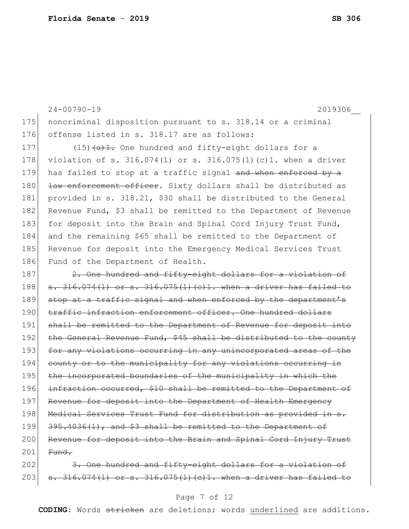24-00790-19 2019306\_\_ 175 | noncriminal disposition pursuant to s. 318.14 or a criminal 176 offense listed in s. 318.17 are as follows: 177  $(15)$   $\overline{a}$   $\overline{1}$ . One hundred and fifty-eight dollars for a 178 violation of s. 316.074(1) or s. 316.075(1)(c)1. when a driver 179 has failed to stop at a traffic signal and when enforced by a 180 <del>law enforcement officer</del>. Sixty dollars shall be distributed as 181 provided in s. 318.21, \$30 shall be distributed to the General 182 Revenue Fund, \$3 shall be remitted to the Department of Revenue 183 for deposit into the Brain and Spinal Cord Injury Trust Fund, 184 and the remaining \$65 shall be remitted to the Department of 185 Revenue for deposit into the Emergency Medical Services Trust 186 Fund of the Department of Health. 187 2. One hundred and fifty-eight dollars for a violation of 188  $\sigma$  s. 316.074(1) or s. 316.075(1)(c)1. when a driver has failed to 189 stop at a traffic signal and when enforced by the department's 190 traffic infraction enforcement officer. One hundred dollars 191 shall be remitted to the Department of Revenue for deposit into 192 the General Revenue Fund, \$45 shall be distributed to the county 193 for any violations occurring in any unincorporated areas of the 194 county or to the municipality for any violations occurring in 195 the incorporated boundaries of the municipality in which the 196 infraction occurred, \$10 shall be remitted to the Department of 197 Revenue for deposit into the Department of Health Emergency 198 Medical Services Trust Fund for distribution as provided in s. 199 395.4036(1), and \$3 shall be remitted to the Department of 200 Revenue for deposit into the Brain and Spinal Cord Injury Trust  $201$  Fund. 202 3. One hundred and fifty-eight dollars for a violation of

# 203  $\sigma$  s. 316.074(1) or s. 316.075(1)(c)1. when a driver has failed to

#### Page 7 of 12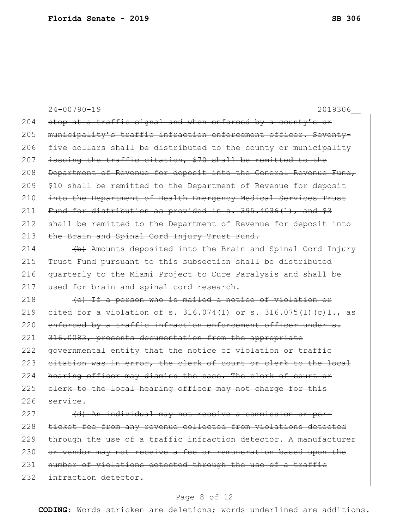24-00790-19 2019306\_\_ 204  $\sigma$  stop at a traffic signal and when enforced by a county's or 205 municipality's traffic infraction enforcement officer. Seventy-206 five dollars shall be distributed to the county or municipality  $207$  issuing the traffic citation, \$70 shall be remitted to the 208 Department of Revenue for deposit into the General Revenue Fund, 209 \$10 shall be remitted to the Department of Revenue for deposit 210 into the Department of Health Emergency Medical Services Trust 211 Fund for distribution as provided in  $s. 395.4036(1)$ , and  $$3$ 212 shall be remitted to the Department of Revenue for deposit into 213 the Brain and Spinal Cord Injury Trust Fund. 214  $\leftrightarrow$  Amounts deposited into the Brain and Spinal Cord Injury 215 Trust Fund pursuant to this subsection shall be distributed 216 quarterly to the Miami Project to Cure Paralysis and shall be 217 used for brain and spinal cord research.  $218$  (c) If a person who is mailed a notice of violation or 219 cited for a violation of s.  $316.074(1)$  or s.  $316.075(1)(c)1.,$  as 220 enforced by a traffic infraction enforcement officer under s. 221 316.0083, presents documentation from the appropriate 222 governmental entity that the notice of violation or traffic 223 citation was in error, the clerk of court or clerk to the local 224 hearing officer may dismiss the case. The clerk of court or  $225$  clerk to the local hearing officer may not charge for this  $226$  service. 227 (d) An individual may not receive a commission or per-228 ticket fee from any revenue collected from violations detected  $229$  through the use of a traffic infraction detector. A manufacturer 230 or vendor may not receive a fee or remuneration based upon the

231 number of violations detected through the use of a traffic

232 infraction detector.

### Page 8 of 12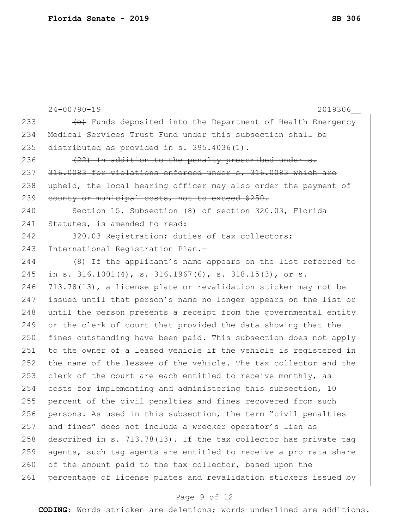| 233<br>(e) Funds deposited into the Department of Health Emergency<br>234<br>Medical Services Trust Fund under this subsection shall be<br>235<br>distributed as provided in s. 395.4036(1).<br>236<br>(22) In addition to the penalty prescribed under s.<br>237<br>316.0083 for violations enforced under s. 316.0083 which are<br>238<br>upheld, the local hearing officer may also order the payment of<br>239<br>county or municipal costs, not to exceed \$250.<br>240<br>Section 15. Subsection (8) of section 320.03, Florida<br>241<br>Statutes, is amended to read:<br>242<br>320.03 Registration; duties of tax collectors;<br>243<br>International Registration Plan.-<br>244<br>(8) If the applicant's name appears on the list referred to<br>245<br>in s. 316.1001(4), s. 316.1967(6), $\frac{1}{5}$ . 318.15(3), or s.<br>246<br>713.78(13), a license plate or revalidation sticker may not be<br>247<br>issued until that person's name no longer appears on the list or<br>248<br>until the person presents a receipt from the governmental entity<br>249<br>or the clerk of court that provided the data showing that the<br>250<br>fines outstanding have been paid. This subsection does not apply<br>251<br>to the owner of a leased vehicle if the vehicle is registered in<br>252<br>the name of the lessee of the vehicle. The tax collector and the<br>253<br>clerk of the court are each entitled to receive monthly, as<br>254<br>costs for implementing and administering this subsection, 10<br>255<br>percent of the civil penalties and fines recovered from such<br>256<br>persons. As used in this subsection, the term "civil penalties<br>257<br>and fines" does not include a wrecker operator's lien as<br>258<br>described in s. 713.78(13). If the tax collector has private tag<br>259<br>agents, such tag agents are entitled to receive a pro rata share<br>260<br>of the amount paid to the tax collector, based upon the<br>261<br>percentage of license plates and revalidation stickers issued by | $24 - 00790 - 19$<br>2019306 |
|---------------------------------------------------------------------------------------------------------------------------------------------------------------------------------------------------------------------------------------------------------------------------------------------------------------------------------------------------------------------------------------------------------------------------------------------------------------------------------------------------------------------------------------------------------------------------------------------------------------------------------------------------------------------------------------------------------------------------------------------------------------------------------------------------------------------------------------------------------------------------------------------------------------------------------------------------------------------------------------------------------------------------------------------------------------------------------------------------------------------------------------------------------------------------------------------------------------------------------------------------------------------------------------------------------------------------------------------------------------------------------------------------------------------------------------------------------------------------------------------------------------------------------------------------------------------------------------------------------------------------------------------------------------------------------------------------------------------------------------------------------------------------------------------------------------------------------------------------------------------------------------------------------------------------------------------------------------------------------------------------------------------------------------------------|------------------------------|
|                                                                                                                                                                                                                                                                                                                                                                                                                                                                                                                                                                                                                                                                                                                                                                                                                                                                                                                                                                                                                                                                                                                                                                                                                                                                                                                                                                                                                                                                                                                                                                                                                                                                                                                                                                                                                                                                                                                                                                                                                                                   |                              |
|                                                                                                                                                                                                                                                                                                                                                                                                                                                                                                                                                                                                                                                                                                                                                                                                                                                                                                                                                                                                                                                                                                                                                                                                                                                                                                                                                                                                                                                                                                                                                                                                                                                                                                                                                                                                                                                                                                                                                                                                                                                   |                              |
|                                                                                                                                                                                                                                                                                                                                                                                                                                                                                                                                                                                                                                                                                                                                                                                                                                                                                                                                                                                                                                                                                                                                                                                                                                                                                                                                                                                                                                                                                                                                                                                                                                                                                                                                                                                                                                                                                                                                                                                                                                                   |                              |
|                                                                                                                                                                                                                                                                                                                                                                                                                                                                                                                                                                                                                                                                                                                                                                                                                                                                                                                                                                                                                                                                                                                                                                                                                                                                                                                                                                                                                                                                                                                                                                                                                                                                                                                                                                                                                                                                                                                                                                                                                                                   |                              |
|                                                                                                                                                                                                                                                                                                                                                                                                                                                                                                                                                                                                                                                                                                                                                                                                                                                                                                                                                                                                                                                                                                                                                                                                                                                                                                                                                                                                                                                                                                                                                                                                                                                                                                                                                                                                                                                                                                                                                                                                                                                   |                              |
|                                                                                                                                                                                                                                                                                                                                                                                                                                                                                                                                                                                                                                                                                                                                                                                                                                                                                                                                                                                                                                                                                                                                                                                                                                                                                                                                                                                                                                                                                                                                                                                                                                                                                                                                                                                                                                                                                                                                                                                                                                                   |                              |
|                                                                                                                                                                                                                                                                                                                                                                                                                                                                                                                                                                                                                                                                                                                                                                                                                                                                                                                                                                                                                                                                                                                                                                                                                                                                                                                                                                                                                                                                                                                                                                                                                                                                                                                                                                                                                                                                                                                                                                                                                                                   |                              |
|                                                                                                                                                                                                                                                                                                                                                                                                                                                                                                                                                                                                                                                                                                                                                                                                                                                                                                                                                                                                                                                                                                                                                                                                                                                                                                                                                                                                                                                                                                                                                                                                                                                                                                                                                                                                                                                                                                                                                                                                                                                   |                              |
|                                                                                                                                                                                                                                                                                                                                                                                                                                                                                                                                                                                                                                                                                                                                                                                                                                                                                                                                                                                                                                                                                                                                                                                                                                                                                                                                                                                                                                                                                                                                                                                                                                                                                                                                                                                                                                                                                                                                                                                                                                                   |                              |
|                                                                                                                                                                                                                                                                                                                                                                                                                                                                                                                                                                                                                                                                                                                                                                                                                                                                                                                                                                                                                                                                                                                                                                                                                                                                                                                                                                                                                                                                                                                                                                                                                                                                                                                                                                                                                                                                                                                                                                                                                                                   |                              |
|                                                                                                                                                                                                                                                                                                                                                                                                                                                                                                                                                                                                                                                                                                                                                                                                                                                                                                                                                                                                                                                                                                                                                                                                                                                                                                                                                                                                                                                                                                                                                                                                                                                                                                                                                                                                                                                                                                                                                                                                                                                   |                              |
|                                                                                                                                                                                                                                                                                                                                                                                                                                                                                                                                                                                                                                                                                                                                                                                                                                                                                                                                                                                                                                                                                                                                                                                                                                                                                                                                                                                                                                                                                                                                                                                                                                                                                                                                                                                                                                                                                                                                                                                                                                                   |                              |
|                                                                                                                                                                                                                                                                                                                                                                                                                                                                                                                                                                                                                                                                                                                                                                                                                                                                                                                                                                                                                                                                                                                                                                                                                                                                                                                                                                                                                                                                                                                                                                                                                                                                                                                                                                                                                                                                                                                                                                                                                                                   |                              |
|                                                                                                                                                                                                                                                                                                                                                                                                                                                                                                                                                                                                                                                                                                                                                                                                                                                                                                                                                                                                                                                                                                                                                                                                                                                                                                                                                                                                                                                                                                                                                                                                                                                                                                                                                                                                                                                                                                                                                                                                                                                   |                              |
|                                                                                                                                                                                                                                                                                                                                                                                                                                                                                                                                                                                                                                                                                                                                                                                                                                                                                                                                                                                                                                                                                                                                                                                                                                                                                                                                                                                                                                                                                                                                                                                                                                                                                                                                                                                                                                                                                                                                                                                                                                                   |                              |
|                                                                                                                                                                                                                                                                                                                                                                                                                                                                                                                                                                                                                                                                                                                                                                                                                                                                                                                                                                                                                                                                                                                                                                                                                                                                                                                                                                                                                                                                                                                                                                                                                                                                                                                                                                                                                                                                                                                                                                                                                                                   |                              |
|                                                                                                                                                                                                                                                                                                                                                                                                                                                                                                                                                                                                                                                                                                                                                                                                                                                                                                                                                                                                                                                                                                                                                                                                                                                                                                                                                                                                                                                                                                                                                                                                                                                                                                                                                                                                                                                                                                                                                                                                                                                   |                              |
|                                                                                                                                                                                                                                                                                                                                                                                                                                                                                                                                                                                                                                                                                                                                                                                                                                                                                                                                                                                                                                                                                                                                                                                                                                                                                                                                                                                                                                                                                                                                                                                                                                                                                                                                                                                                                                                                                                                                                                                                                                                   |                              |
|                                                                                                                                                                                                                                                                                                                                                                                                                                                                                                                                                                                                                                                                                                                                                                                                                                                                                                                                                                                                                                                                                                                                                                                                                                                                                                                                                                                                                                                                                                                                                                                                                                                                                                                                                                                                                                                                                                                                                                                                                                                   |                              |
|                                                                                                                                                                                                                                                                                                                                                                                                                                                                                                                                                                                                                                                                                                                                                                                                                                                                                                                                                                                                                                                                                                                                                                                                                                                                                                                                                                                                                                                                                                                                                                                                                                                                                                                                                                                                                                                                                                                                                                                                                                                   |                              |
|                                                                                                                                                                                                                                                                                                                                                                                                                                                                                                                                                                                                                                                                                                                                                                                                                                                                                                                                                                                                                                                                                                                                                                                                                                                                                                                                                                                                                                                                                                                                                                                                                                                                                                                                                                                                                                                                                                                                                                                                                                                   |                              |
|                                                                                                                                                                                                                                                                                                                                                                                                                                                                                                                                                                                                                                                                                                                                                                                                                                                                                                                                                                                                                                                                                                                                                                                                                                                                                                                                                                                                                                                                                                                                                                                                                                                                                                                                                                                                                                                                                                                                                                                                                                                   |                              |
|                                                                                                                                                                                                                                                                                                                                                                                                                                                                                                                                                                                                                                                                                                                                                                                                                                                                                                                                                                                                                                                                                                                                                                                                                                                                                                                                                                                                                                                                                                                                                                                                                                                                                                                                                                                                                                                                                                                                                                                                                                                   |                              |
|                                                                                                                                                                                                                                                                                                                                                                                                                                                                                                                                                                                                                                                                                                                                                                                                                                                                                                                                                                                                                                                                                                                                                                                                                                                                                                                                                                                                                                                                                                                                                                                                                                                                                                                                                                                                                                                                                                                                                                                                                                                   |                              |
|                                                                                                                                                                                                                                                                                                                                                                                                                                                                                                                                                                                                                                                                                                                                                                                                                                                                                                                                                                                                                                                                                                                                                                                                                                                                                                                                                                                                                                                                                                                                                                                                                                                                                                                                                                                                                                                                                                                                                                                                                                                   |                              |
|                                                                                                                                                                                                                                                                                                                                                                                                                                                                                                                                                                                                                                                                                                                                                                                                                                                                                                                                                                                                                                                                                                                                                                                                                                                                                                                                                                                                                                                                                                                                                                                                                                                                                                                                                                                                                                                                                                                                                                                                                                                   |                              |
|                                                                                                                                                                                                                                                                                                                                                                                                                                                                                                                                                                                                                                                                                                                                                                                                                                                                                                                                                                                                                                                                                                                                                                                                                                                                                                                                                                                                                                                                                                                                                                                                                                                                                                                                                                                                                                                                                                                                                                                                                                                   |                              |
|                                                                                                                                                                                                                                                                                                                                                                                                                                                                                                                                                                                                                                                                                                                                                                                                                                                                                                                                                                                                                                                                                                                                                                                                                                                                                                                                                                                                                                                                                                                                                                                                                                                                                                                                                                                                                                                                                                                                                                                                                                                   |                              |
|                                                                                                                                                                                                                                                                                                                                                                                                                                                                                                                                                                                                                                                                                                                                                                                                                                                                                                                                                                                                                                                                                                                                                                                                                                                                                                                                                                                                                                                                                                                                                                                                                                                                                                                                                                                                                                                                                                                                                                                                                                                   |                              |

## Page 9 of 12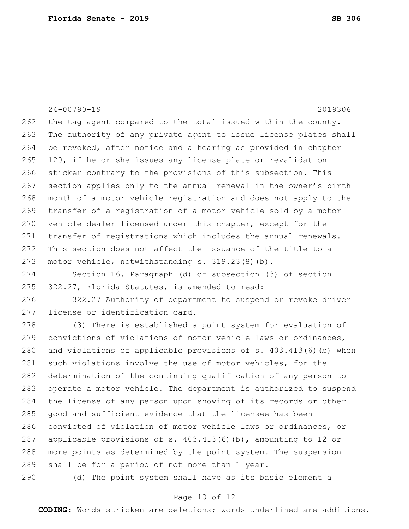24-00790-19 2019306\_\_  $262$  the tag agent compared to the total issued within the county. 263 The authority of any private agent to issue license plates shall 264 be revoked, after notice and a hearing as provided in chapter 265 120, if he or she issues any license plate or revalidation 266 sticker contrary to the provisions of this subsection. This 267 section applies only to the annual renewal in the owner's birth 268 month of a motor vehicle registration and does not apply to the 269 transfer of a registration of a motor vehicle sold by a motor 270 vehicle dealer licensed under this chapter, except for the 271 transfer of registrations which includes the annual renewals. 272 This section does not affect the issuance of the title to a 273 motor vehicle, notwithstanding s. 319.23(8)(b). 274 Section 16. Paragraph (d) of subsection (3) of section 275 322.27, Florida Statutes, is amended to read: 276 322.27 Authority of department to suspend or revoke driver 277 license or identification card.-278 (3) There is established a point system for evaluation of 279 convictions of violations of motor vehicle laws or ordinances, 280 and violations of applicable provisions of  $s. 403.413(6)$  (b) when 281 such violations involve the use of motor vehicles, for the 282 determination of the continuing qualification of any person to 283 operate a motor vehicle. The department is authorized to suspend

284 the license of any person upon showing of its records or other 285 good and sufficient evidence that the licensee has been 286 convicted of violation of motor vehicle laws or ordinances, or 287 applicable provisions of s.  $403.413(6)(b)$ , amounting to 12 or

288 more points as determined by the point system. The suspension 289 shall be for a period of not more than 1 year.

290 (d) The point system shall have as its basic element a

#### Page 10 of 12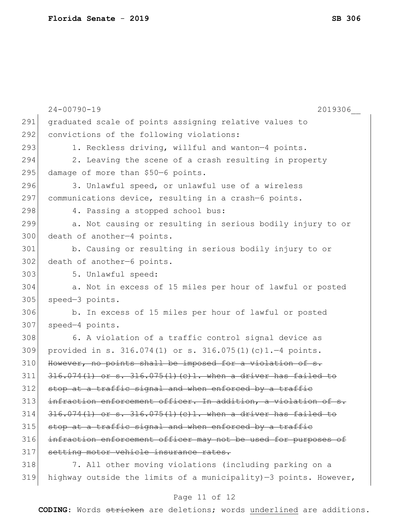|     | $24 - 00790 - 19$<br>2019306                                      |
|-----|-------------------------------------------------------------------|
| 291 | graduated scale of points assigning relative values to            |
| 292 | convictions of the following violations:                          |
| 293 | 1. Reckless driving, willful and wanton-4 points.                 |
| 294 | 2. Leaving the scene of a crash resulting in property             |
| 295 | damage of more than \$50-6 points.                                |
| 296 | 3. Unlawful speed, or unlawful use of a wireless                  |
| 297 | communications device, resulting in a crash-6 points.             |
| 298 | 4. Passing a stopped school bus:                                  |
| 299 | a. Not causing or resulting in serious bodily injury to or        |
| 300 | death of another-4 points.                                        |
| 301 | b. Causing or resulting in serious bodily injury to or            |
| 302 | death of another-6 points.                                        |
| 303 | 5. Unlawful speed:                                                |
| 304 | a. Not in excess of 15 miles per hour of lawful or posted         |
| 305 | speed-3 points.                                                   |
| 306 | b. In excess of 15 miles per hour of lawful or posted             |
| 307 | speed-4 points.                                                   |
| 308 | 6. A violation of a traffic control signal device as              |
| 309 | provided in s. $316.074(1)$ or s. $316.075(1)(c)1.-4$ points.     |
| 310 | However, no points shall be imposed for a violation of s.         |
| 311 | $316.074(1)$ or s. $316.075(1)(c)1$ . when a driver has failed to |
| 312 | stop at a traffic signal and when enforced by a traffic           |
| 313 | infraction enforcement officer. In addition, a violation of       |
| 314 | $316.074(1)$ or s. $316.075(1)(c)1$ . when a driver has failed to |
| 315 | stop at a traffic signal and when enforced by a traffic           |
| 316 | infraction enforcement officer may not be used for purposes of    |
| 317 | setting motor vehicle insurance rates.                            |
| 318 | 7. All other moving violations (including parking on a            |
| 319 | highway outside the limits of a municipality)-3 points. However,  |

## Page 11 of 12